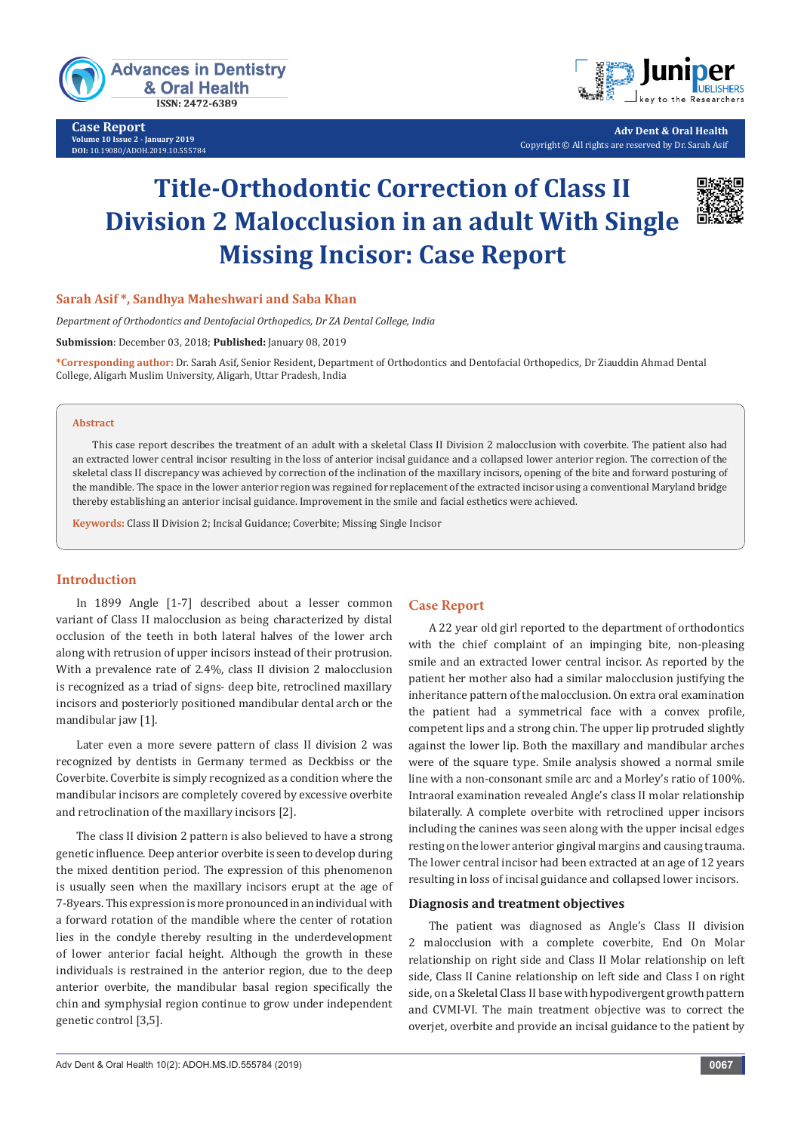

**Case Report Volume 10 Issue 2 - January 2019 DOI:** [10.19080/ADOH.2019.10.555784](http://dx.doi.org/10.19080/ADOH.2019.10.555784)



**Adv Dent & Oral Health** Copyright © All rights are reserved by Dr. Sarah Asif

# **Title-Orthodontic Correction of Class II Division 2 Malocclusion in an adult With Single Missing Incisor: Case Report**



## **Sarah Asif \*, Sandhya Maheshwari and Saba Khan**

*Department of Orthodontics and Dentofacial Orthopedics, Dr ZA Dental College, India*

**Submission**: December 03, 2018; **Published:** January 08, 2019

**\*Corresponding author:** Dr. Sarah Asif, Senior Resident, Department of Orthodontics and Dentofacial Orthopedics, Dr Ziauddin Ahmad Dental College, Aligarh Muslim University, Aligarh, Uttar Pradesh, India

#### **Abstract**

This case report describes the treatment of an adult with a skeletal Class II Division 2 malocclusion with coverbite. The patient also had an extracted lower central incisor resulting in the loss of anterior incisal guidance and a collapsed lower anterior region. The correction of the skeletal class II discrepancy was achieved by correction of the inclination of the maxillary incisors, opening of the bite and forward posturing of the mandible. The space in the lower anterior region was regained for replacement of the extracted incisor using a conventional Maryland bridge thereby establishing an anterior incisal guidance. Improvement in the smile and facial esthetics were achieved.

**Keywords:** Class II Division 2; Incisal Guidance; Coverbite; Missing Single Incisor

## **Introduction**

In 1899 Angle [1-7] described about a lesser common variant of Class II malocclusion as being characterized by distal occlusion of the teeth in both lateral halves of the lower arch along with retrusion of upper incisors instead of their protrusion. With a prevalence rate of 2.4%, class II division 2 malocclusion is recognized as a triad of signs- deep bite, retroclined maxillary incisors and posteriorly positioned mandibular dental arch or the mandibular jaw [1].

Later even a more severe pattern of class II division 2 was recognized by dentists in Germany termed as Deckbiss or the Coverbite. Coverbite is simply recognized as a condition where the mandibular incisors are completely covered by excessive overbite and retroclination of the maxillary incisors [2].

The class II division 2 pattern is also believed to have a strong genetic influence. Deep anterior overbite is seen to develop during the mixed dentition period. The expression of this phenomenon is usually seen when the maxillary incisors erupt at the age of 7-8years. This expression is more pronounced in an individual with a forward rotation of the mandible where the center of rotation lies in the condyle thereby resulting in the underdevelopment of lower anterior facial height. Although the growth in these individuals is restrained in the anterior region, due to the deep anterior overbite, the mandibular basal region specifically the chin and symphysial region continue to grow under independent genetic control [3,5].

## **Case Report**

A 22 year old girl reported to the department of orthodontics with the chief complaint of an impinging bite, non-pleasing smile and an extracted lower central incisor. As reported by the patient her mother also had a similar malocclusion justifying the inheritance pattern of the malocclusion. On extra oral examination the patient had a symmetrical face with a convex profile, competent lips and a strong chin. The upper lip protruded slightly against the lower lip. Both the maxillary and mandibular arches were of the square type. Smile analysis showed a normal smile line with a non-consonant smile arc and a Morley's ratio of 100%. Intraoral examination revealed Angle's class II molar relationship bilaterally. A complete overbite with retroclined upper incisors including the canines was seen along with the upper incisal edges resting on the lower anterior gingival margins and causing trauma. The lower central incisor had been extracted at an age of 12 years resulting in loss of incisal guidance and collapsed lower incisors.

#### **Diagnosis and treatment objectives**

The patient was diagnosed as Angle's Class II division 2 malocclusion with a complete coverbite, End On Molar relationship on right side and Class II Molar relationship on left side, Class II Canine relationship on left side and Class I on right side, on a Skeletal Class II base with hypodivergent growth pattern and CVMI-VI. The main treatment objective was to correct the overjet, overbite and provide an incisal guidance to the patient by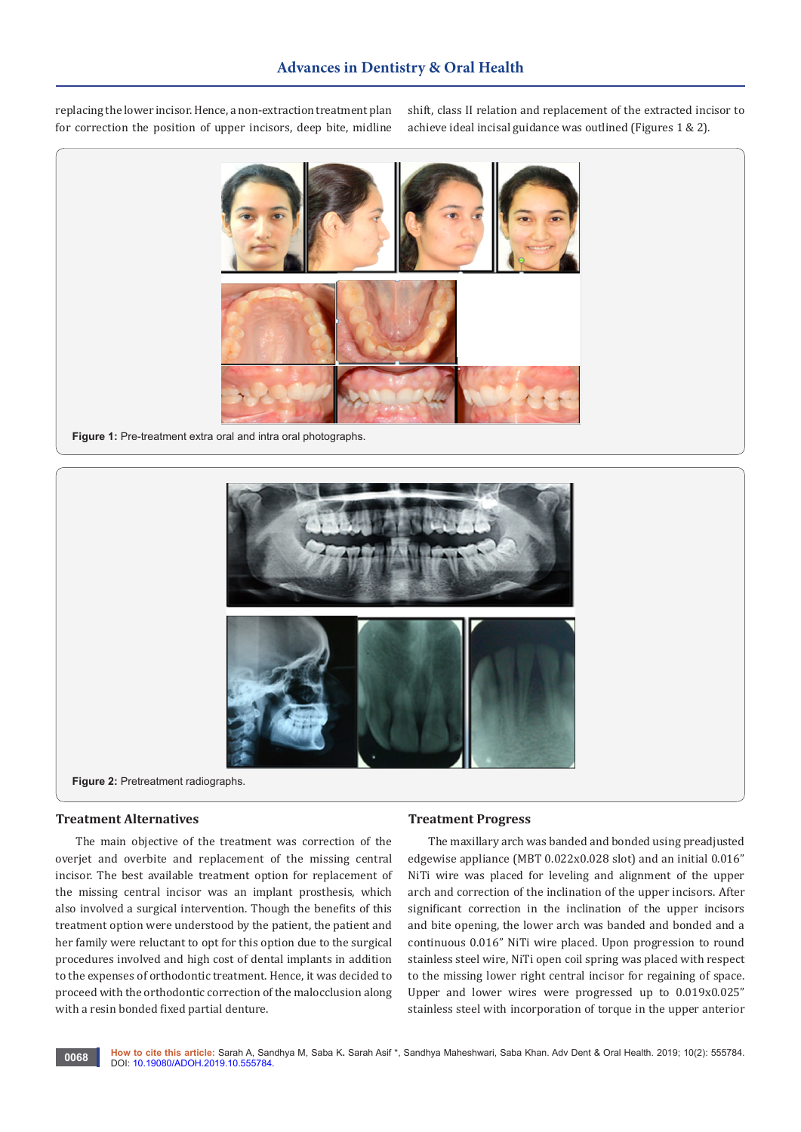replacing the lower incisor. Hence, a non-extraction treatment plan for correction the position of upper incisors, deep bite, midline

shift, class II relation and replacement of the extracted incisor to achieve ideal incisal guidance was outlined (Figures 1 & 2).



**Figure 1:** Pre-treatment extra oral and intra oral photographs.



**Figure 2:** Pretreatment radiographs.

#### **Treatment Alternatives**

The main objective of the treatment was correction of the overjet and overbite and replacement of the missing central incisor. The best available treatment option for replacement of the missing central incisor was an implant prosthesis, which also involved a surgical intervention. Though the benefits of this treatment option were understood by the patient, the patient and her family were reluctant to opt for this option due to the surgical procedures involved and high cost of dental implants in addition to the expenses of orthodontic treatment. Hence, it was decided to proceed with the orthodontic correction of the malocclusion along with a resin bonded fixed partial denture.

## **Treatment Progress**

The maxillary arch was banded and bonded using preadjusted edgewise appliance (MBT 0.022x0.028 slot) and an initial 0.016" NiTi wire was placed for leveling and alignment of the upper arch and correction of the inclination of the upper incisors. After significant correction in the inclination of the upper incisors and bite opening, the lower arch was banded and bonded and a continuous 0.016" NiTi wire placed. Upon progression to round stainless steel wire, NiTi open coil spring was placed with respect to the missing lower right central incisor for regaining of space. Upper and lower wires were progressed up to 0.019x0.025" stainless steel with incorporation of torque in the upper anterior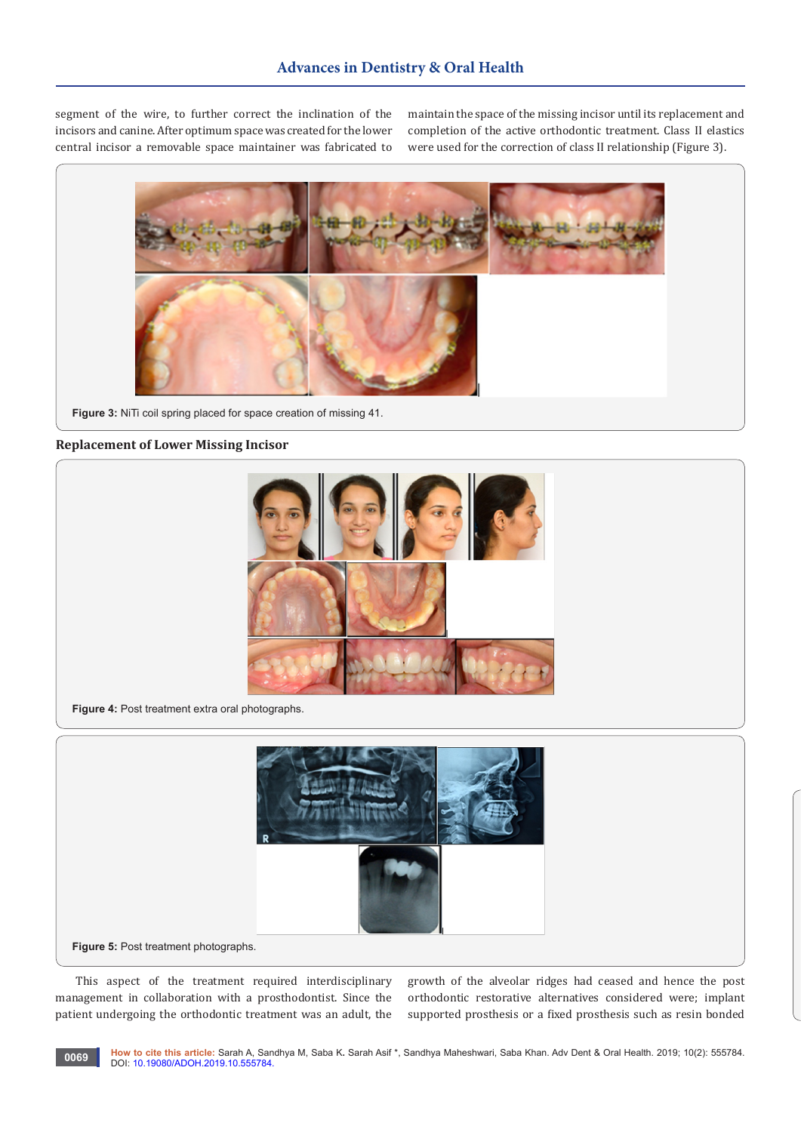segment of the wire, to further correct the inclination of the incisors and canine. After optimum space was created for the lower central incisor a removable space maintainer was fabricated to

maintain the space of the missing incisor until its replacement and completion of the active orthodontic treatment. Class II elastics were used for the correction of class II relationship (Figure 3).



**Figure 3:** NiTi coil spring placed for space creation of missing 41.

#### **Replacement of Lower Missing Incisor**



**Figure 4:** Post treatment extra oral photographs.



**Figure 5:** Post treatment photographs.

This aspect of the treatment required interdisciplinary management in collaboration with a prosthodontist. Since the patient undergoing the orthodontic treatment was an adult, the

growth of the alveolar ridges had ceased and hence the post orthodontic restorative alternatives considered were; implant supported prosthesis or a fixed prosthesis such as resin bonded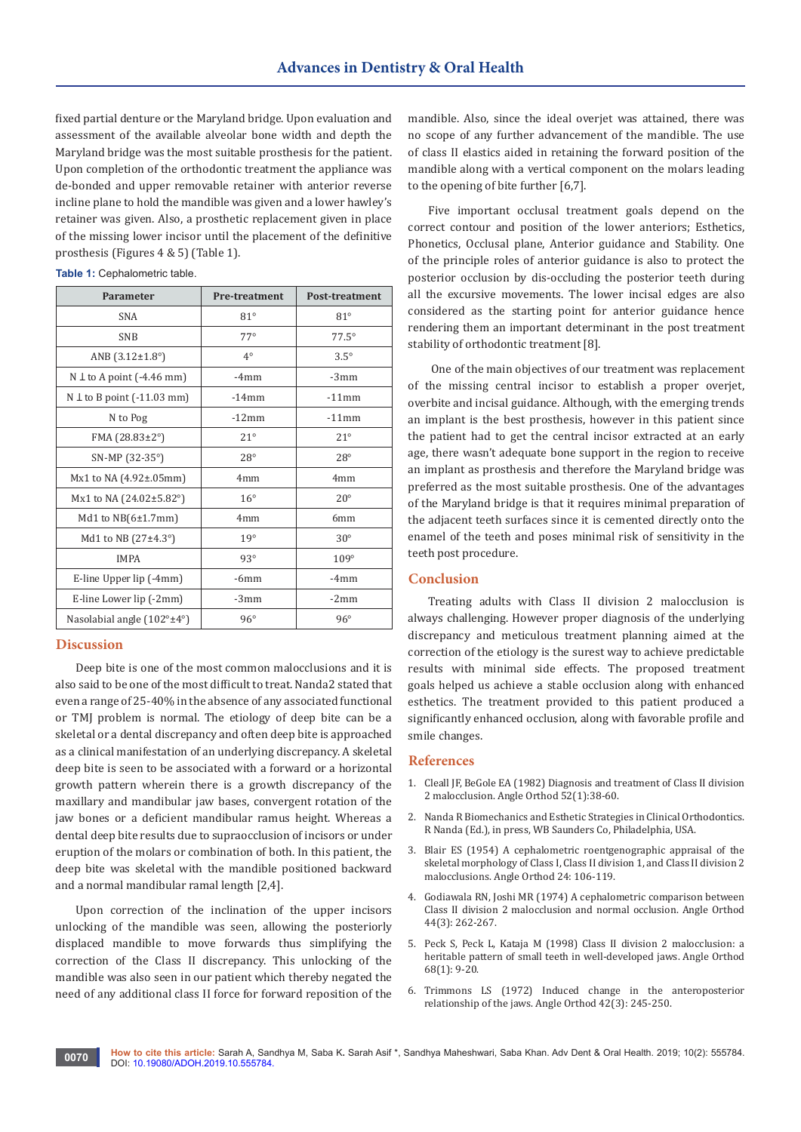fixed partial denture or the Maryland bridge. Upon evaluation and assessment of the available alveolar bone width and depth the Maryland bridge was the most suitable prosthesis for the patient. Upon completion of the orthodontic treatment the appliance was de-bonded and upper removable retainer with anterior reverse incline plane to hold the mandible was given and a lower hawley's retainer was given. Also, a prosthetic replacement given in place of the missing lower incisor until the placement of the definitive prosthesis (Figures 4 & 5) (Table 1).

| <b>Parameter</b>                               | <b>Pre-treatment</b> | <b>Post-treatment</b> |
|------------------------------------------------|----------------------|-----------------------|
| <b>SNA</b>                                     | $81^\circ$           | $81^\circ$            |
| <b>SNB</b>                                     | $77^\circ$           | $77.5^\circ$          |
| ANB $(3.12 \pm 1.8^{\circ})$                   | $4^\circ$            | $3.5^\circ$           |
| $N \perp$ to A point (-4.46 mm)                | $-4mm$               | $-3mm$                |
| $N \perp$ to B point (-11.03 mm)               | $-14$ mm             | $-11$ mm              |
| N to Pog                                       | $-12mm$              | $-11$ mm              |
| $FMA (28.83 \pm 2^{\circ})$                    | $21^\circ$           | $21^{\circ}$          |
| SN-MP (32-35°)                                 | $28^\circ$           | $28^{\circ}$          |
| $Mx1$ to NA $(4.92\pm.05$ mm)                  | 4 <sub>mm</sub>      | 4 <sub>mm</sub>       |
| Mx1 to NA (24.02±5.82°)                        | $16^{\circ}$         | $20^{\circ}$          |
| Md1 to $NB(6±1.7mm)$                           | 4mm                  | 6mm                   |
| Md1 to NB $(27\pm4.3^{\circ})$                 | 19°                  | $30^\circ$            |
| <b>IMPA</b>                                    | $93^\circ$           | $109^\circ$           |
| E-line Upper lip (-4mm)                        | $-6mm$               | $-4mm$                |
| E-line Lower lip (-2mm)                        | $-3mm$               | $-2mm$                |
| Nasolabial angle $(102^{\circ} \pm 4^{\circ})$ | $96^\circ$           | $96^\circ$            |

#### **Table 1:** Cephalometric table.

#### **Discussion**

Deep bite is one of the most common malocclusions and it is also said to be one of the most difficult to treat. Nanda2 stated that even a range of 25-40% in the absence of any associated functional or TMJ problem is normal. The etiology of deep bite can be a skeletal or a dental discrepancy and often deep bite is approached as a clinical manifestation of an underlying discrepancy. A skeletal deep bite is seen to be associated with a forward or a horizontal growth pattern wherein there is a growth discrepancy of the maxillary and mandibular jaw bases, convergent rotation of the jaw bones or a deficient mandibular ramus height. Whereas a dental deep bite results due to supraocclusion of incisors or under eruption of the molars or combination of both. In this patient, the deep bite was skeletal with the mandible positioned backward and a normal mandibular ramal length [2,4].

Upon correction of the inclination of the upper incisors unlocking of the mandible was seen, allowing the posteriorly displaced mandible to move forwards thus simplifying the correction of the Class II discrepancy. This unlocking of the mandible was also seen in our patient which thereby negated the need of any additional class II force for forward reposition of the

mandible. Also, since the ideal overjet was attained, there was no scope of any further advancement of the mandible. The use of class II elastics aided in retaining the forward position of the mandible along with a vertical component on the molars leading to the opening of bite further [6,7].

Five important occlusal treatment goals depend on the correct contour and position of the lower anteriors; Esthetics, Phonetics, Occlusal plane, Anterior guidance and Stability. One of the principle roles of anterior guidance is also to protect the posterior occlusion by dis-occluding the posterior teeth during all the excursive movements. The lower incisal edges are also considered as the starting point for anterior guidance hence rendering them an important determinant in the post treatment stability of orthodontic treatment [8].

 One of the main objectives of our treatment was replacement of the missing central incisor to establish a proper overjet, overbite and incisal guidance. Although, with the emerging trends an implant is the best prosthesis, however in this patient since the patient had to get the central incisor extracted at an early age, there wasn't adequate bone support in the region to receive an implant as prosthesis and therefore the Maryland bridge was preferred as the most suitable prosthesis. One of the advantages of the Maryland bridge is that it requires minimal preparation of the adjacent teeth surfaces since it is cemented directly onto the enamel of the teeth and poses minimal risk of sensitivity in the teeth post procedure.

## **Conclusion**

Treating adults with Class II division 2 malocclusion is always challenging. However proper diagnosis of the underlying discrepancy and meticulous treatment planning aimed at the correction of the etiology is the surest way to achieve predictable results with minimal side effects. The proposed treatment goals helped us achieve a stable occlusion along with enhanced esthetics. The treatment provided to this patient produced a significantly enhanced occlusion, along with favorable profile and smile changes.

#### **References**

- 1. [Cleall JF, BeGole EA \(1982\) Diagnosis and treatment of Class II division](https://www.ncbi.nlm.nih.gov/pubmed/6950679)  [2 malocclusion. Angle Orthod 52\(1\):38-60.](https://www.ncbi.nlm.nih.gov/pubmed/6950679)
- 2. Nanda R Biomechanics and Esthetic Strategies in Clinical Orthodontics. R Nanda (Ed.), in press, WB Saunders Co, Philadelphia, USA.
- 3. Blair ES (1954) A cephalometric roentgenographic appraisal of the skeletal morphology of Class I, Class II division 1, and Class II division 2 malocclusions. Angle Orthod 24: 106-119.
- 4. [Godiawala RN, Joshi MR \(1974\) A cephalometric comparison between](https://www.ncbi.nlm.nih.gov/pubmed/4527603)  [Class II division 2 malocclusion and normal occlusion. Angle Orthod](https://www.ncbi.nlm.nih.gov/pubmed/4527603)  [44\(3\): 262-267.](https://www.ncbi.nlm.nih.gov/pubmed/4527603)
- 5. [Peck S, Peck L, Kataja M \(1998\) Class II division 2 malocclusion: a](https://www.ncbi.nlm.nih.gov/pubmed/9503130)  [heritable pattern of small teeth in well-developed jaws. Angle Orthod](https://www.ncbi.nlm.nih.gov/pubmed/9503130)  [68\(1\): 9-20.](https://www.ncbi.nlm.nih.gov/pubmed/9503130)
- 6. [Trimmons LS \(1972\) Induced change in the anteroposterior](https://www.ncbi.nlm.nih.gov/pubmed/4504542)  [relationship of the jaws. Angle Orthod 42\(3\): 245-250.](https://www.ncbi.nlm.nih.gov/pubmed/4504542)